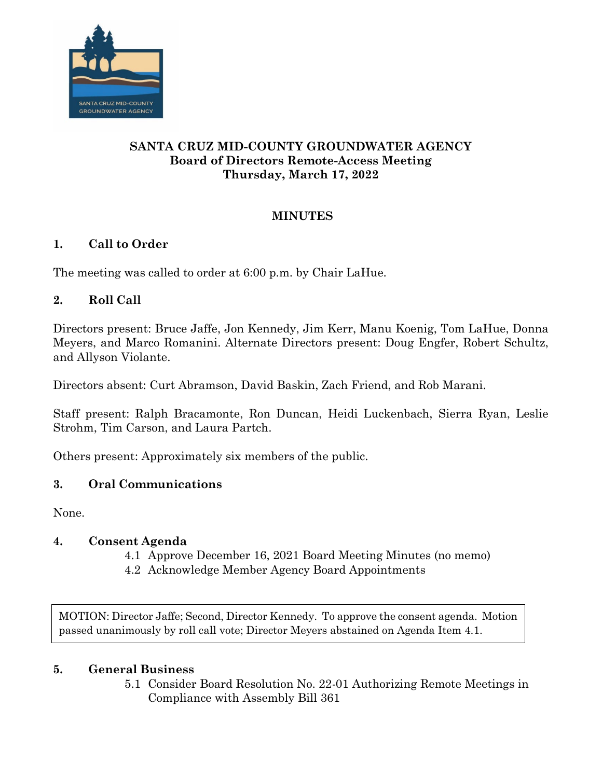

# **SANTA CRUZ MID-COUNTY GROUNDWATER AGENCY Board of Directors Remote-Access Meeting Thursday, March 17, 2022**

# **MINUTES**

# **1. Call to Order**

The meeting was called to order at 6:00 p.m. by Chair LaHue.

# **2. Roll Call**

Directors present: Bruce Jaffe, Jon Kennedy, Jim Kerr, Manu Koenig, Tom LaHue, Donna Meyers, and Marco Romanini. Alternate Directors present: Doug Engfer, Robert Schultz, and Allyson Violante.

Directors absent: Curt Abramson, David Baskin, Zach Friend, and Rob Marani.

Staff present: Ralph Bracamonte, Ron Duncan, Heidi Luckenbach, Sierra Ryan, Leslie Strohm, Tim Carson, and Laura Partch.

Others present: Approximately six members of the public.

# **3. Oral Communications**

None.

### **4. Consent Agenda**

- 4.1 Approve December 16, 2021 Board Meeting Minutes (no memo)
- 4.2 Acknowledge Member Agency Board Appointments

MOTION: Director Jaffe; Second, Director Kennedy. To approve the consent agenda. Motion passed unanimously by roll call vote; Director Meyers abstained on Agenda Item 4.1.

### **5. General Business**

5.1 Consider Board Resolution No. 22-01 Authorizing Remote Meetings in Compliance with Assembly Bill 361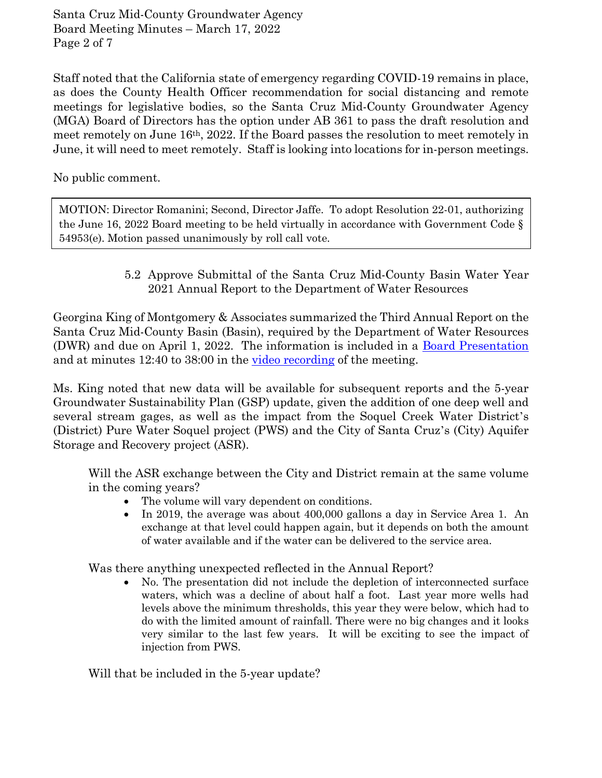Santa Cruz Mid-County Groundwater Agency Board Meeting Minutes – March 17, 2022 Page 2 of 7

Staff noted that the California state of emergency regarding COVID-19 remains in place, as does the County Health Officer recommendation for social distancing and remote meetings for legislative bodies, so the Santa Cruz Mid-County Groundwater Agency (MGA) Board of Directors has the option under AB 361 to pass the draft resolution and meet remotely on June 16th, 2022. If the Board passes the resolution to meet remotely in June, it will need to meet remotely. Staff is looking into locations for in-person meetings.

No public comment.

MOTION: Director Romanini; Second, Director Jaffe. To adopt Resolution 22-01, authorizing the June 16, 2022 Board meeting to be held virtually in accordance with Government Code § 54953(e). Motion passed unanimously by roll call vote.

> 5.2 Approve Submittal of the Santa Cruz Mid-County Basin Water Year 2021 Annual Report to the Department of Water Resources

Georgina King of Montgomery & Associates summarized the Third Annual Report on the Santa Cruz Mid-County Basin (Basin), required by the Department of Water Resources (DWR) and due on April 1, 2022. The information is included in a [Board Presentation](file://cn/dfs/cfscc/shares/data/RWMF-MGA/Board%20Meetings/2022/2022-0317/Presentations/WY2021GSP_AnnualReport_final_gk.pdf) and at minutes 12:40 to 38:00 in the [video recording](https://drive.google.com/file/d/1scOm6tg7FE23fhgICU85AuwG9ESsFaLS/view) of the meeting.

Ms. King noted that new data will be available for subsequent reports and the 5-year Groundwater Sustainability Plan (GSP) update, given the addition of one deep well and several stream gages, as well as the impact from the Soquel Creek Water District's (District) Pure Water Soquel project (PWS) and the City of Santa Cruz's (City) Aquifer Storage and Recovery project (ASR).

Will the ASR exchange between the City and District remain at the same volume in the coming years?

- The volume will vary dependent on conditions.
- In 2019, the average was about 400,000 gallons a day in Service Area 1. An exchange at that level could happen again, but it depends on both the amount of water available and if the water can be delivered to the service area.

Was there anything unexpected reflected in the Annual Report?

• No. The presentation did not include the depletion of interconnected surface waters, which was a decline of about half a foot. Last year more wells had levels above the minimum thresholds, this year they were below, which had to do with the limited amount of rainfall. There were no big changes and it looks very similar to the last few years. It will be exciting to see the impact of injection from PWS.

Will that be included in the 5-year update?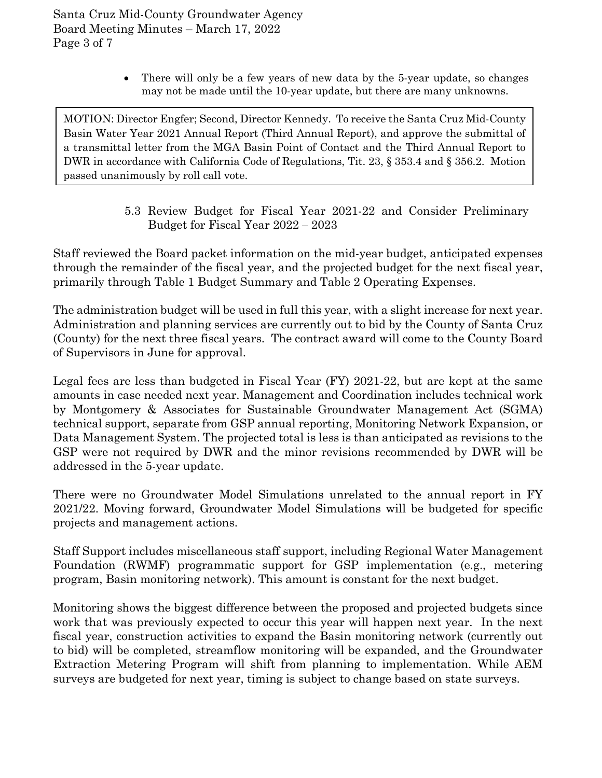• There will only be a few years of new data by the 5-year update, so changes may not be made until the 10-year update, but there are many unknowns.

MOTION: Director Engfer; Second, Director Kennedy. To receive the Santa Cruz Mid-County Basin Water Year 2021 Annual Report (Third Annual Report), and approve the submittal of a transmittal letter from the MGA Basin Point of Contact and the Third Annual Report to DWR in accordance with California Code of Regulations, Tit. 23, § 353.4 and § 356.2. Motion passed unanimously by roll call vote.

> 5.3 Review Budget for Fiscal Year 2021-22 and Consider Preliminary Budget for Fiscal Year 2022 – 2023

Staff reviewed the Board packet information on the mid-year budget, anticipated expenses through the remainder of the fiscal year, and the projected budget for the next fiscal year, primarily through Table 1 Budget Summary and Table 2 Operating Expenses.

The administration budget will be used in full this year, with a slight increase for next year. Administration and planning services are currently out to bid by the County of Santa Cruz (County) for the next three fiscal years. The contract award will come to the County Board of Supervisors in June for approval.

Legal fees are less than budgeted in Fiscal Year (FY) 2021-22, but are kept at the same amounts in case needed next year. Management and Coordination includes technical work by Montgomery & Associates for Sustainable Groundwater Management Act (SGMA) technical support, separate from GSP annual reporting, Monitoring Network Expansion, or Data Management System. The projected total is less is than anticipated as revisions to the GSP were not required by DWR and the minor revisions recommended by DWR will be addressed in the 5-year update.

There were no Groundwater Model Simulations unrelated to the annual report in FY 2021/22. Moving forward, Groundwater Model Simulations will be budgeted for specific projects and management actions.

Staff Support includes miscellaneous staff support, including Regional Water Management Foundation (RWMF) programmatic support for GSP implementation (e.g., metering program, Basin monitoring network). This amount is constant for the next budget.

Monitoring shows the biggest difference between the proposed and projected budgets since work that was previously expected to occur this year will happen next year. In the next fiscal year, construction activities to expand the Basin monitoring network (currently out to bid) will be completed, streamflow monitoring will be expanded, and the Groundwater Extraction Metering Program will shift from planning to implementation. While AEM surveys are budgeted for next year, timing is subject to change based on state surveys.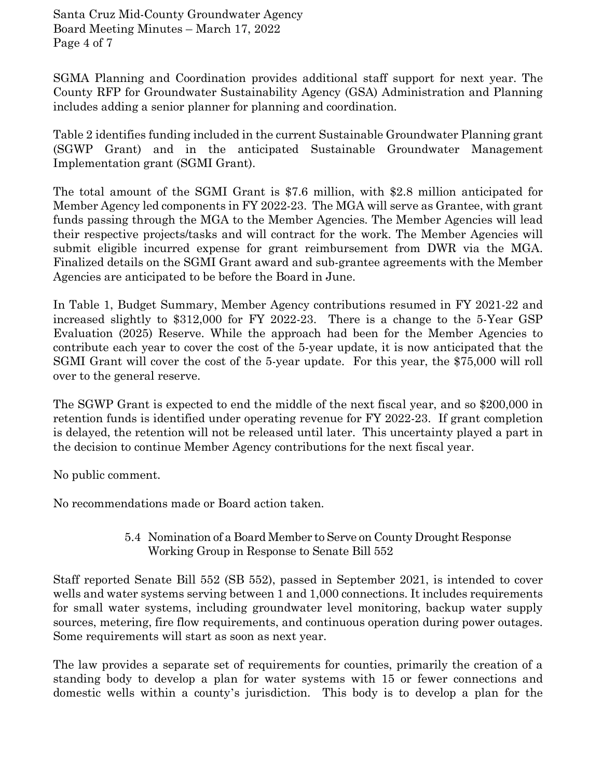Santa Cruz Mid-County Groundwater Agency Board Meeting Minutes – March 17, 2022 Page 4 of 7

SGMA Planning and Coordination provides additional staff support for next year. The County RFP for Groundwater Sustainability Agency (GSA) Administration and Planning includes adding a senior planner for planning and coordination.

Table 2 identifies funding included in the current Sustainable Groundwater Planning grant (SGWP Grant) and in the anticipated Sustainable Groundwater Management Implementation grant (SGMI Grant).

The total amount of the SGMI Grant is \$7.6 million, with \$2.8 million anticipated for Member Agency led components in FY 2022-23. The MGA will serve as Grantee, with grant funds passing through the MGA to the Member Agencies. The Member Agencies will lead their respective projects/tasks and will contract for the work. The Member Agencies will submit eligible incurred expense for grant reimbursement from DWR via the MGA. Finalized details on the SGMI Grant award and sub-grantee agreements with the Member Agencies are anticipated to be before the Board in June.

In Table 1, Budget Summary, Member Agency contributions resumed in FY 2021-22 and increased slightly to \$312,000 for FY 2022-23. There is a change to the 5-Year GSP Evaluation (2025) Reserve. While the approach had been for the Member Agencies to contribute each year to cover the cost of the 5-year update, it is now anticipated that the SGMI Grant will cover the cost of the 5-year update. For this year, the \$75,000 will roll over to the general reserve.

The SGWP Grant is expected to end the middle of the next fiscal year, and so \$200,000 in retention funds is identified under operating revenue for FY 2022-23. If grant completion is delayed, the retention will not be released until later. This uncertainty played a part in the decision to continue Member Agency contributions for the next fiscal year.

No public comment.

No recommendations made or Board action taken.

#### 5.4 Nomination of a Board Member to Serve on County Drought Response Working Group in Response to Senate Bill 552

Staff reported Senate Bill 552 (SB 552), passed in September 2021, is intended to cover wells and water systems serving between 1 and 1,000 connections. It includes requirements for small water systems, including groundwater level monitoring, backup water supply sources, metering, fire flow requirements, and continuous operation during power outages. Some requirements will start as soon as next year.

The law provides a separate set of requirements for counties, primarily the creation of a standing body to develop a plan for water systems with 15 or fewer connections and domestic wells within a county's jurisdiction. This body is to develop a plan for the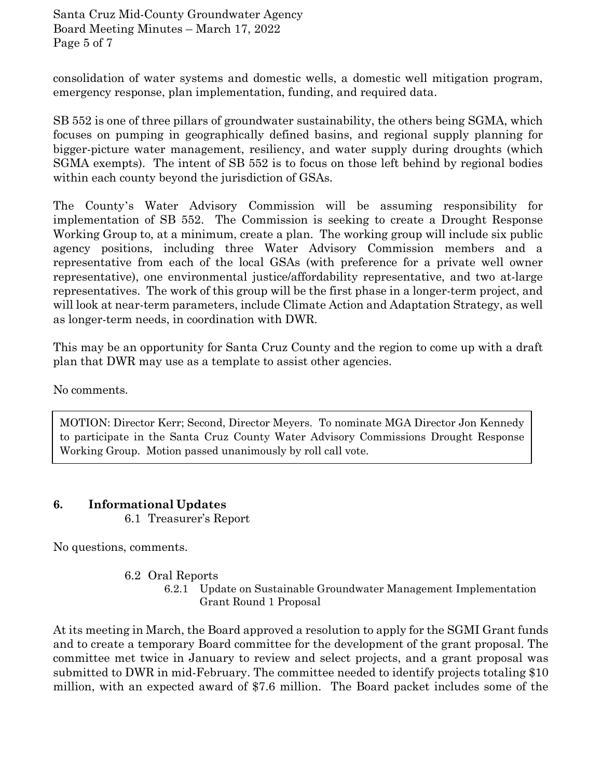Santa Cruz Mid-County Groundwater Agency Board Meeting Minutes – March 17, 2022 Page 5 of 7

consolidation of water systems and domestic wells, a domestic well mitigation program, emergency response, plan implementation, funding, and required data.

SB 552 is one of three pillars of groundwater sustainability, the others being SGMA, which focuses on pumping in geographically defined basins, and regional supply planning for bigger-picture water management, resiliency, and water supply during droughts (which SGMA exempts). The intent of SB 552 is to focus on those left behind by regional bodies within each county beyond the jurisdiction of GSAs.

The County's Water Advisory Commission will be assuming responsibility for implementation of SB 552. The Commission is seeking to create a Drought Response Working Group to, at a minimum, create a plan. The working group will include six public agency positions, including three Water Advisory Commission members and a representative from each of the local GSAs (with preference for a private well owner representative), one environmental justice/affordability representative, and two at-large representatives. The work of this group will be the first phase in a longer-term project, and will look at near-term parameters, include Climate Action and Adaptation Strategy, as well as longer-term needs, in coordination with DWR.

This may be an opportunity for Santa Cruz County and the region to come up with a draft plan that DWR may use as a template to assist other agencies.

No comments.

MOTION: Director Kerr; Second, Director Meyers. To nominate MGA Director Jon Kennedy to participate in the Santa Cruz County Water Advisory Commissions Drought Response Working Group. Motion passed unanimously by roll call vote.

#### **6. Informational Updates**

6.1 Treasurer's Report

No questions, comments.

- 6.2 Oral Reports
	- 6.2.1 Update on Sustainable Groundwater Management Implementation Grant Round 1 Proposal

At its meeting in March, the Board approved a resolution to apply for the SGMI Grant funds and to create a temporary Board committee for the development of the grant proposal. The committee met twice in January to review and select projects, and a grant proposal was submitted to DWR in mid-February. The committee needed to identify projects totaling \$10 million, with an expected award of \$7.6 million. The Board packet includes some of the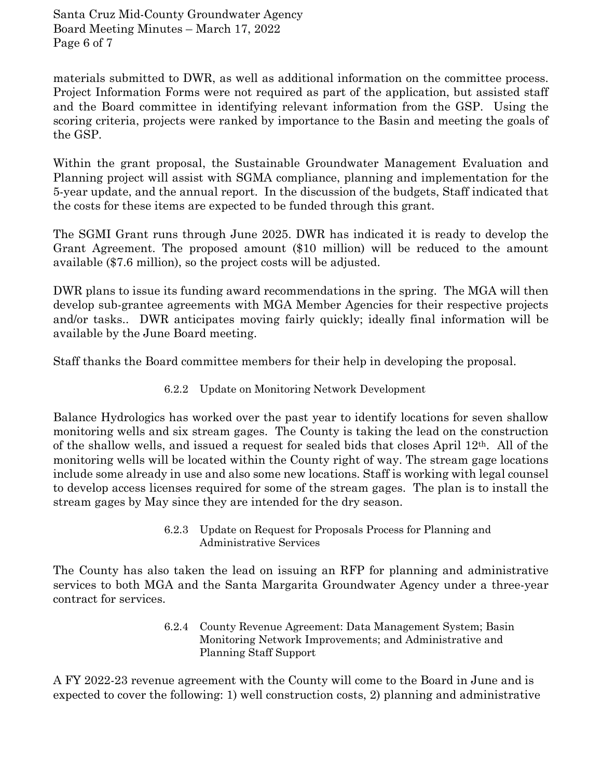Santa Cruz Mid-County Groundwater Agency Board Meeting Minutes – March 17, 2022 Page 6 of 7

materials submitted to DWR, as well as additional information on the committee process. Project Information Forms were not required as part of the application, but assisted staff and the Board committee in identifying relevant information from the GSP. Using the scoring criteria, projects were ranked by importance to the Basin and meeting the goals of the GSP.

Within the grant proposal, the Sustainable Groundwater Management Evaluation and Planning project will assist with SGMA compliance, planning and implementation for the 5-year update, and the annual report. In the discussion of the budgets, Staff indicated that the costs for these items are expected to be funded through this grant.

The SGMI Grant runs through June 2025. DWR has indicated it is ready to develop the Grant Agreement. The proposed amount (\$10 million) will be reduced to the amount available (\$7.6 million), so the project costs will be adjusted.

DWR plans to issue its funding award recommendations in the spring. The MGA will then develop sub-grantee agreements with MGA Member Agencies for their respective projects and/or tasks.. DWR anticipates moving fairly quickly; ideally final information will be available by the June Board meeting.

Staff thanks the Board committee members for their help in developing the proposal.

6.2.2 Update on Monitoring Network Development

Balance Hydrologics has worked over the past year to identify locations for seven shallow monitoring wells and six stream gages. The County is taking the lead on the construction of the shallow wells, and issued a request for sealed bids that closes April  $12<sup>th</sup>$ . All of the monitoring wells will be located within the County right of way. The stream gage locations include some already in use and also some new locations. Staff is working with legal counsel to develop access licenses required for some of the stream gages. The plan is to install the stream gages by May since they are intended for the dry season.

> 6.2.3 Update on Request for Proposals Process for Planning and Administrative Services

The County has also taken the lead on issuing an RFP for planning and administrative services to both MGA and the Santa Margarita Groundwater Agency under a three-year contract for services.

> 6.2.4 County Revenue Agreement: Data Management System; Basin Monitoring Network Improvements; and Administrative and Planning Staff Support

A FY 2022-23 revenue agreement with the County will come to the Board in June and is expected to cover the following: 1) well construction costs, 2) planning and administrative